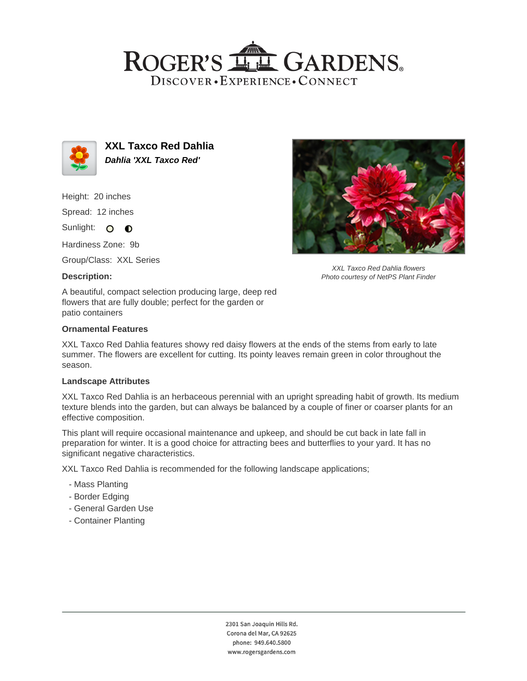# ROGER'S LLE GARDENS. DISCOVER · EXPERIENCE · CONNECT



**XXL Taxco Red Dahlia Dahlia 'XXL Taxco Red'**

Height: 20 inches

Spread: 12 inches

Sunlight: O **O** 

Hardiness Zone: 9b

Group/Class: XXL Series

## **Description:**



XXL Taxco Red Dahlia flowers Photo courtesy of NetPS Plant Finder

A beautiful, compact selection producing large, deep red flowers that are fully double; perfect for the garden or patio containers

## **Ornamental Features**

XXL Taxco Red Dahlia features showy red daisy flowers at the ends of the stems from early to late summer. The flowers are excellent for cutting. Its pointy leaves remain green in color throughout the season.

#### **Landscape Attributes**

XXL Taxco Red Dahlia is an herbaceous perennial with an upright spreading habit of growth. Its medium texture blends into the garden, but can always be balanced by a couple of finer or coarser plants for an effective composition.

This plant will require occasional maintenance and upkeep, and should be cut back in late fall in preparation for winter. It is a good choice for attracting bees and butterflies to your yard. It has no significant negative characteristics.

XXL Taxco Red Dahlia is recommended for the following landscape applications;

- Mass Planting
- Border Edging
- General Garden Use
- Container Planting

2301 San Joaquin Hills Rd. Corona del Mar, CA 92625 phone: 949.640.5800 www.rogersgardens.com